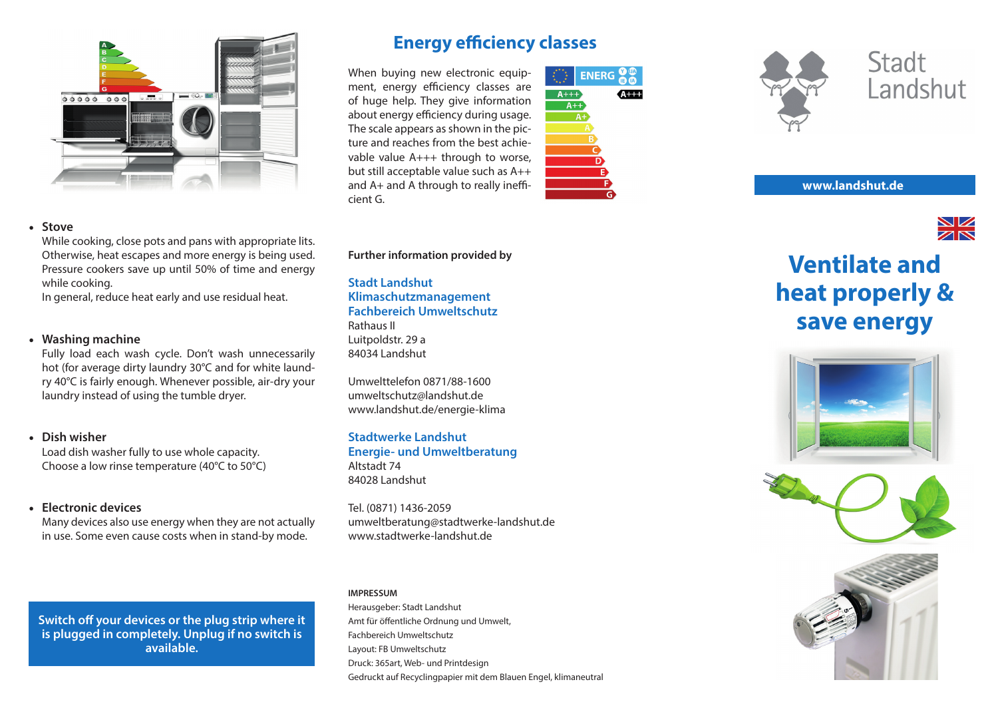

### • **Stove**

While cooking, close pots and pans with appropriate lits. Otherwise, heat escapes and more energy is being used. Pressure cookers save up until 50% of time and energy while cooking.

In general, reduce heat early and use residual heat.

### • **Washing machine**

Fully load each wash cycle. Don't wash unnecessarily hot (for average dirty laundry 30°C and for white laundry 40°C is fairly enough. Whenever possible, air-dry your laundry instead of using the tumble dryer.

### • **Dish wisher**

Load dish washer fully to use whole capacity. Choose a low rinse temperature (40°C to 50°C)

### • **Electronic devices**

Many devices also use energy when they are not actually in use. Some even cause costs when in stand-by mode.

**Switch off your devices or the plug strip where it is plugged in completely. Unplug if no switch is available.**

## **Energy efficiency classes**

When buying new electronic equipment, energy efficiency classes are of huge help. They give information about energy efficiency during usage. The scale appears as shown in the picture and reaches from the best achievable value A+++ through to worse, but still acceptable value such as A++ and A+ and A through to really inefficient G.





**Stadt** Landshut

**www.landshut.de**



### **Further information provided by**

**Stadt Landshut Klimaschutzmanagement Fachbereich Umweltschutz**

Rathaus II Luitpoldstr. 29 a 84034 Landshut

Umwelttelefon 0871/88-1600 umweltschutz@landshut.de www.landshut.de/energie-klima

### **Stadtwerke Landshut Energie- und Umweltberatung**

Altstadt 74 84028 Landshut

Tel. (0871) 1436-2059 umweltberatung@stadtwerke-landshut.de www.stadtwerke-landshut.de

### **IMPRESSUM**

Herausgeber: Stadt Landshut Amt für öffentliche Ordnung und Umwelt, Fachbereich Umweltschutz Layout: FB Umweltschutz Druck: 365art, Web- und Printdesign Gedruckt auf Recyclingpapier mit dem Blauen Engel, klimaneutral

# **Ventilate and heat properly & save energy**